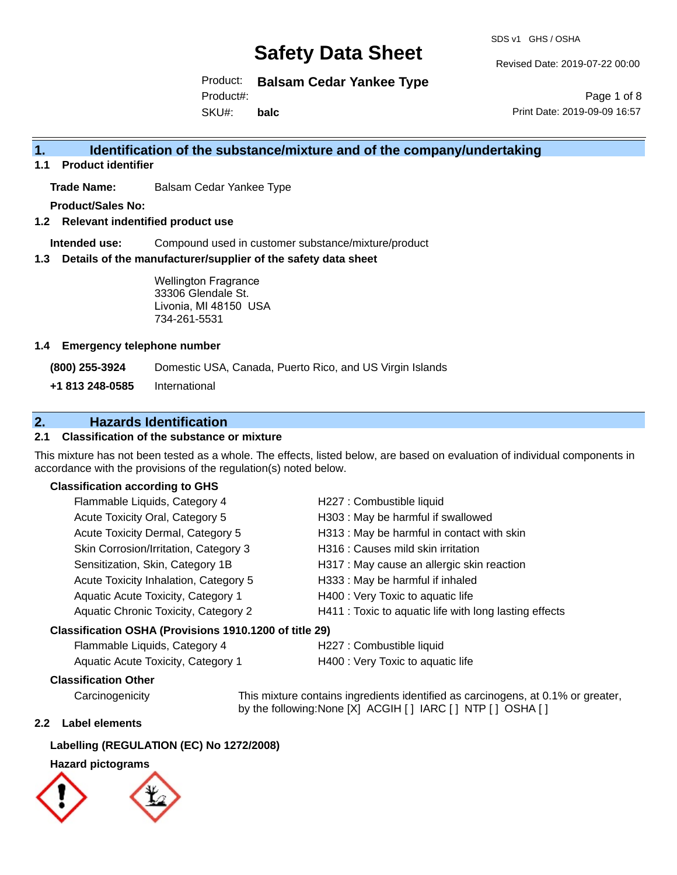SDS v1 GHS / OSHA

Revised Date: 2019-07-22 00:00

Product: **Balsam Cedar Yankee Type**

Product#:

SKU#: **balc**

Page 1 of 8 Print Date: 2019-09-09 16:57

### **1. Identification of the substance/mixture and of the company/undertaking**

**1.1 Product identifier**

**Trade Name:** Balsam Cedar Yankee Type

**Product/Sales No:**

**1.2 Relevant indentified product use**

**Intended use:** Compound used in customer substance/mixture/product

**1.3 Details of the manufacturer/supplier of the safety data sheet**

Wellington Fragrance 33306 Glendale St. Livonia, MI 48150 USA 734-261-5531

#### **1.4 Emergency telephone number**

**(800) 255-3924** Domestic USA, Canada, Puerto Rico, and US Virgin Islands

**+1 813 248-0585** International

### **2. Hazards Identification**

#### **2.1 Classification of the substance or mixture**

This mixture has not been tested as a whole. The effects, listed below, are based on evaluation of individual components in accordance with the provisions of the regulation(s) noted below.

#### **Classification according to GHS**

| Classification OSHA (Provisions 1910.1200 of title 29) |                                                        |  |
|--------------------------------------------------------|--------------------------------------------------------|--|
| Aquatic Chronic Toxicity, Category 2                   | H411 : Toxic to aquatic life with long lasting effects |  |
| Aquatic Acute Toxicity, Category 1                     | H400 : Very Toxic to aquatic life                      |  |
| Acute Toxicity Inhalation, Category 5                  | H333: May be harmful if inhaled                        |  |
| Sensitization, Skin, Category 1B                       | H317 : May cause an allergic skin reaction             |  |
| Skin Corrosion/Irritation, Category 3                  | H316 : Causes mild skin irritation                     |  |
| Acute Toxicity Dermal, Category 5                      | H313 : May be harmful in contact with skin             |  |
| Acute Toxicity Oral, Category 5                        | H303 : May be harmful if swallowed                     |  |
| Flammable Liquids, Category 4                          | H227 : Combustible liquid                              |  |

## Flammable Liquids, Category 4 H227 : Combustible liquid

| $\frac{1}{2}$ ratificable Liquids, Odlegory $\frac{1}{2}$ |        |
|-----------------------------------------------------------|--------|
| <b>Aquatic Acute Toxicity, Category 1</b>                 | H400 : |

Very Toxic to aquatic life

#### **Classification Other**

Carcinogenicity This mixture contains ingredients identified as carcinogens, at 0.1% or greater, by the following:None [X] ACGIH [ ] IARC [ ] NTP [ ] OSHA [ ]

#### **2.2 Label elements**

#### **Labelling (REGULATION (EC) No 1272/2008)**

#### **Hazard pictograms**

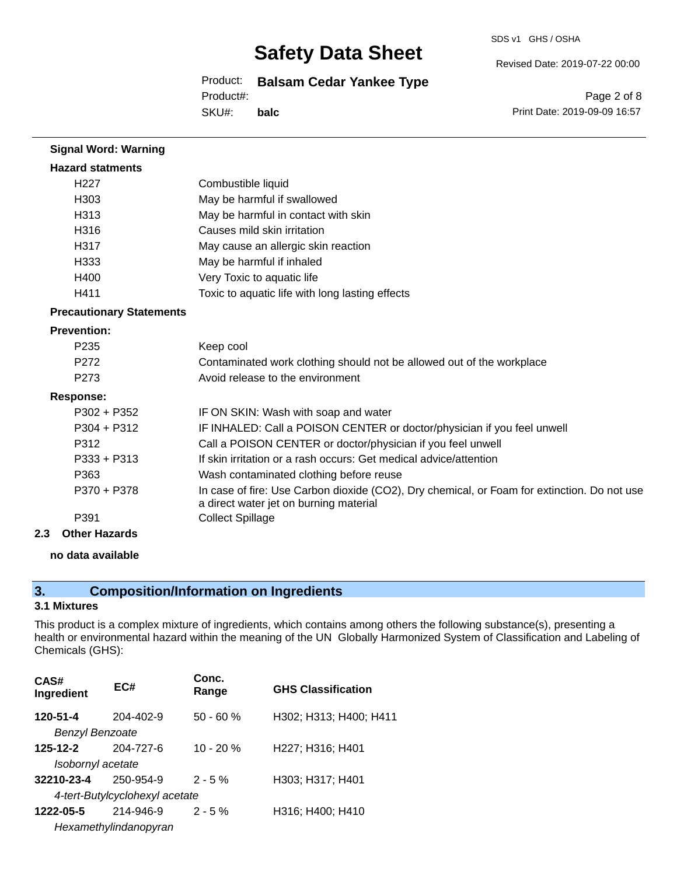#### SDS v1 GHS / OSHA

## **Safety Data Sheet**

Product: **Balsam Cedar Yankee Type**

Product#:

SKU#: **balc** Page 2 of 8

Revised Date: 2019-07-22 00:00

Print Date: 2019-09-09 16:57

| <b>Signal Word: Warning</b>     |                                                                                                                                       |
|---------------------------------|---------------------------------------------------------------------------------------------------------------------------------------|
| <b>Hazard statments</b>         |                                                                                                                                       |
| H <sub>227</sub>                | Combustible liquid                                                                                                                    |
| H303                            | May be harmful if swallowed                                                                                                           |
| H313                            | May be harmful in contact with skin                                                                                                   |
| H316                            | Causes mild skin irritation                                                                                                           |
| H317                            | May cause an allergic skin reaction                                                                                                   |
| H333                            | May be harmful if inhaled                                                                                                             |
| H400                            | Very Toxic to aquatic life                                                                                                            |
| H411                            | Toxic to aquatic life with long lasting effects                                                                                       |
| <b>Precautionary Statements</b> |                                                                                                                                       |
| <b>Prevention:</b>              |                                                                                                                                       |
| P <sub>235</sub>                | Keep cool                                                                                                                             |
| P <sub>272</sub>                | Contaminated work clothing should not be allowed out of the workplace                                                                 |
| P <sub>273</sub>                | Avoid release to the environment                                                                                                      |
| <b>Response:</b>                |                                                                                                                                       |
| $P302 + P352$                   | IF ON SKIN: Wash with soap and water                                                                                                  |
| $P304 + P312$                   | IF INHALED: Call a POISON CENTER or doctor/physician if you feel unwell                                                               |
| P312                            | Call a POISON CENTER or doctor/physician if you feel unwell                                                                           |
| $P333 + P313$                   | If skin irritation or a rash occurs: Get medical advice/attention                                                                     |
| P363                            | Wash contaminated clothing before reuse                                                                                               |
| P370 + P378                     | In case of fire: Use Carbon dioxide (CO2), Dry chemical, or Foam for extinction. Do not use<br>a direct water jet on burning material |
| P391                            | <b>Collect Spillage</b>                                                                                                               |
| Other Hazarde                   |                                                                                                                                       |

**2.3 Other Hazards**

#### **no data available**

### **3. Composition/Information on Ingredients**

#### **3.1 Mixtures**

This product is a complex mixture of ingredients, which contains among others the following substance(s), presenting a health or environmental hazard within the meaning of the UN Globally Harmonized System of Classification and Labeling of Chemicals (GHS):

| CAS#<br>Ingredient     | EC#                            | Conc.<br>Range | <b>GHS Classification</b> |
|------------------------|--------------------------------|----------------|---------------------------|
| 120-51-4               | 204-402-9                      | $50 - 60 %$    | H302; H313; H400; H411    |
| <b>Benzyl Benzoate</b> |                                |                |                           |
| 125-12-2               | 204-727-6                      | $10 - 20 %$    | H227; H316; H401          |
| Isobornyl acetate      |                                |                |                           |
| 32210-23-4             | 250-954-9                      | $2 - 5%$       | H303; H317; H401          |
|                        | 4-tert-Butylcyclohexyl acetate |                |                           |
| 1222-05-5              | 214-946-9                      | $2 - 5%$       | H316; H400; H410          |
|                        | Hexamethylindanopyran          |                |                           |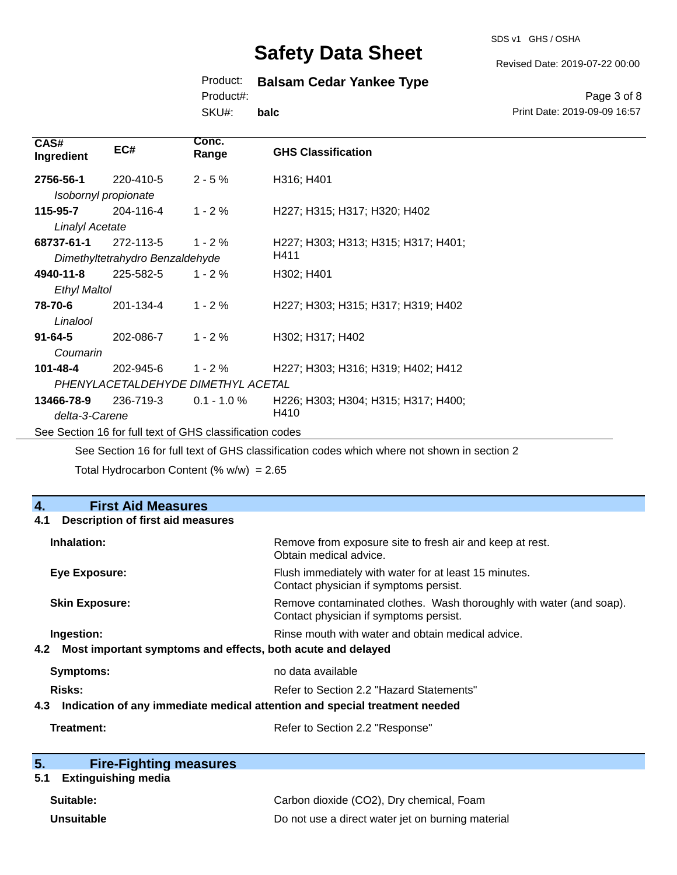SDS v1 GHS / OSHA

Revised Date: 2019-07-22 00:00

### Product: **Balsam Cedar Yankee Type**

Product#:

SKU#: **balc**

Page 3 of 8 Print Date: 2019-09-09 16:57

| CAS#<br>Ingredient     | EC#                             | Conc.<br>Range                                           | <b>GHS Classification</b>                                                                                                                                                                                                                                                                                                                                                         |
|------------------------|---------------------------------|----------------------------------------------------------|-----------------------------------------------------------------------------------------------------------------------------------------------------------------------------------------------------------------------------------------------------------------------------------------------------------------------------------------------------------------------------------|
| 2756-56-1              | 220-410-5                       | $2 - 5%$                                                 | H316; H401                                                                                                                                                                                                                                                                                                                                                                        |
|                        | Isobornyl propionate            |                                                          |                                                                                                                                                                                                                                                                                                                                                                                   |
| 115-95-7               | 204-116-4                       | $1 - 2 \%$                                               | H227; H315; H317; H320; H402                                                                                                                                                                                                                                                                                                                                                      |
| <b>Linalyl Acetate</b> |                                 |                                                          |                                                                                                                                                                                                                                                                                                                                                                                   |
| 68737-61-1             | 272-113-5                       | $1 - 2 \%$                                               | H227; H303; H313; H315; H317; H401;                                                                                                                                                                                                                                                                                                                                               |
|                        | Dimethyltetrahydro Benzaldehyde |                                                          | H411                                                                                                                                                                                                                                                                                                                                                                              |
| 4940-11-8              | 225-582-5                       | $1 - 2%$                                                 | H302; H401                                                                                                                                                                                                                                                                                                                                                                        |
| <b>Ethyl Maltol</b>    |                                 |                                                          |                                                                                                                                                                                                                                                                                                                                                                                   |
| 78-70-6                | 201-134-4                       | $1 - 2 \%$                                               | H227; H303; H315; H317; H319; H402                                                                                                                                                                                                                                                                                                                                                |
| Linalool               |                                 |                                                          |                                                                                                                                                                                                                                                                                                                                                                                   |
| $91 - 64 - 5$          | 202-086-7                       | $1 - 2%$                                                 | H302; H317; H402                                                                                                                                                                                                                                                                                                                                                                  |
| Coumarin               |                                 |                                                          |                                                                                                                                                                                                                                                                                                                                                                                   |
| 101-48-4               | 202-945-6                       | $1 - 2 \%$                                               | H227; H303; H316; H319; H402; H412                                                                                                                                                                                                                                                                                                                                                |
|                        |                                 | PHENYLACETALDEHYDE DIMETHYL ACETAL                       |                                                                                                                                                                                                                                                                                                                                                                                   |
| 13466-78-9             | 236-719-3                       | $0.1 - 1.0 \%$                                           | H226; H303; H304; H315; H317; H400;                                                                                                                                                                                                                                                                                                                                               |
| delta-3-Carene         |                                 |                                                          | H410                                                                                                                                                                                                                                                                                                                                                                              |
|                        |                                 | See Section 16 for full text of GHS classification codes |                                                                                                                                                                                                                                                                                                                                                                                   |
|                        |                                 |                                                          | $\bigcap$ $\bigcap$ $\bigcap$ $\bigcap$ $\bigcap$ $\bigcap$ $\bigcap$ $\bigcap$ $\bigcap$ $\bigcap$ $\bigcap$ $\bigcap$ $\bigcap$ $\bigcap$ $\bigcap$ $\bigcap$ $\bigcap$ $\bigcap$ $\bigcap$ $\bigcap$ $\bigcap$ $\bigcap$ $\bigcap$ $\bigcap$ $\bigcap$ $\bigcap$ $\bigcap$ $\bigcap$ $\bigcap$ $\bigcap$ $\bigcap$ $\bigcap$ $\bigcap$ $\bigcap$ $\bigcap$ $\bigcap$ $\bigcap$ |

See Section 16 for full text of GHS classification codes which where not shown in section 2

Total Hydrocarbon Content (%  $w/w$ ) = 2.65

**4.1 Description of first aid measures**

#### **4. First Aid Measures**

| 4.1 Description of first ald measures                                             |                                                                                                               |
|-----------------------------------------------------------------------------------|---------------------------------------------------------------------------------------------------------------|
| Inhalation:                                                                       | Remove from exposure site to fresh air and keep at rest.<br>Obtain medical advice.                            |
| <b>Eye Exposure:</b>                                                              | Flush immediately with water for at least 15 minutes.<br>Contact physician if symptoms persist.               |
| <b>Skin Exposure:</b>                                                             | Remove contaminated clothes. Wash thoroughly with water (and soap).<br>Contact physician if symptoms persist. |
| Ingestion:<br>4.2 Most important symptoms and effects, both acute and delayed     | Rinse mouth with water and obtain medical advice.                                                             |
| <b>Symptoms:</b>                                                                  | no data available                                                                                             |
| Risks:                                                                            | Refer to Section 2.2 "Hazard Statements"                                                                      |
| Indication of any immediate medical attention and special treatment needed<br>4.3 |                                                                                                               |
| Treatment:                                                                        | Refer to Section 2.2 "Response"                                                                               |

| 5. | <b>Fire-Fighting measures</b> |  |
|----|-------------------------------|--|
|    |                               |  |

## **5.1 Extinguishing media**

| Suitable:  | Carbon dioxide (CO2), Dry chemical, Foam          |
|------------|---------------------------------------------------|
| Unsuitable | Do not use a direct water jet on burning material |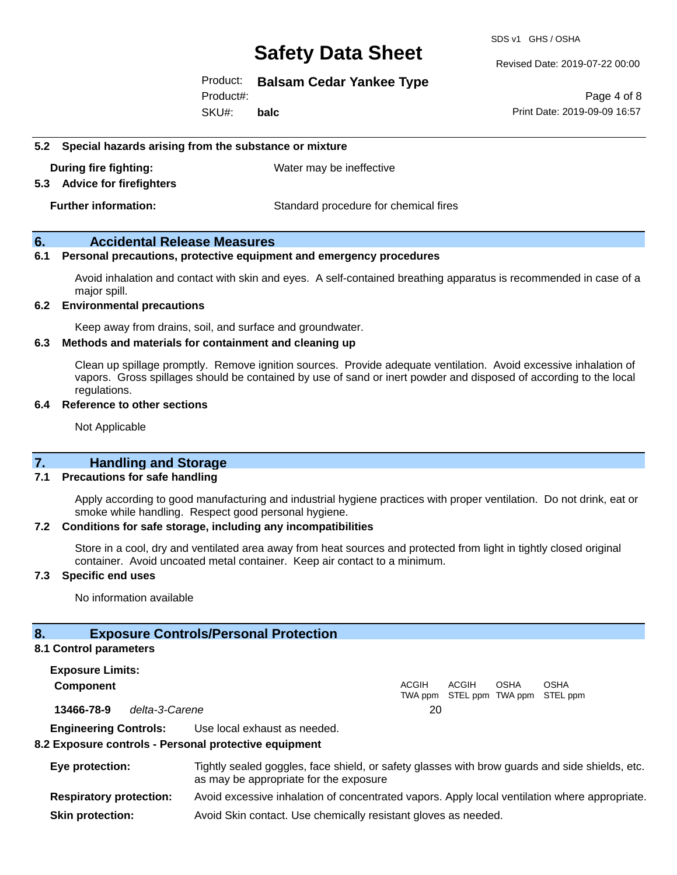SDS v1 GHS / OSHA

Revised Date: 2019-07-22 00:00

#### Product: **Balsam Cedar Yankee Type**

SKU#: Product#: **balc**

Page 4 of 8 Print Date: 2019-09-09 16:57

#### **5.2 Special hazards arising from the substance or mixture**

**During fire fighting:** Water may be ineffective

#### **5.3 Advice for firefighters**

**Further information:** Standard procedure for chemical fires

#### **6. Accidental Release Measures**

#### **6.1 Personal precautions, protective equipment and emergency procedures**

Avoid inhalation and contact with skin and eyes. A self-contained breathing apparatus is recommended in case of a major spill.

#### **6.2 Environmental precautions**

Keep away from drains, soil, and surface and groundwater.

#### **6.3 Methods and materials for containment and cleaning up**

Clean up spillage promptly. Remove ignition sources. Provide adequate ventilation. Avoid excessive inhalation of vapors. Gross spillages should be contained by use of sand or inert powder and disposed of according to the local regulations.

#### **6.4 Reference to other sections**

Not Applicable

#### **7. Handling and Storage**

#### **7.1 Precautions for safe handling**

Apply according to good manufacturing and industrial hygiene practices with proper ventilation. Do not drink, eat or smoke while handling. Respect good personal hygiene.

#### **7.2 Conditions for safe storage, including any incompatibilities**

Store in a cool, dry and ventilated area away from heat sources and protected from light in tightly closed original container. Avoid uncoated metal container. Keep air contact to a minimum.

#### **7.3 Specific end uses**

No information available

#### **8. Exposure Controls/Personal Protection**

#### **8.1 Control parameters**

**Exposure Limits: Component** ACGIH TWA ppm STEL ppm TWA ppm STEL ppm ACGIH **OSHA** OSHA **13466-78-9** *delta-3-Carene* 20 **Engineering Controls:** Use local exhaust as needed.

#### **8.2 Exposure controls - Personal protective equipment**

**Eye protection:** Tightly sealed goggles, face shield, or safety glasses with brow guards and side shields, etc. as may be appropriate for the exposure **Respiratory protection:** Avoid excessive inhalation of concentrated vapors. Apply local ventilation where appropriate. **Skin protection:** Avoid Skin contact. Use chemically resistant gloves as needed.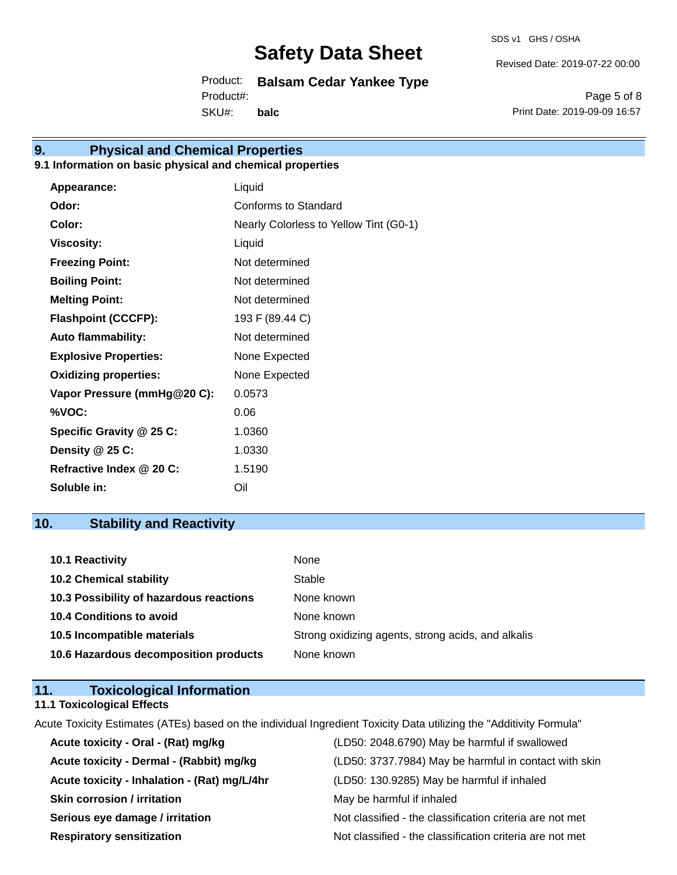SDS v1 GHS / OSHA

Revised Date: 2019-07-22 00:00

Product: **Balsam Cedar Yankee Type** SKU#: Product#: **balc**

Page 5 of 8 Print Date: 2019-09-09 16:57

## **9. Physical and Chemical Properties**

#### **9.1 Information on basic physical and chemical properties**

| <b>Appearance:</b>           | Liquid                                 |
|------------------------------|----------------------------------------|
| Odor:                        | Conforms to Standard                   |
| Color:                       | Nearly Colorless to Yellow Tint (G0-1) |
| <b>Viscosity:</b>            | Liquid                                 |
| <b>Freezing Point:</b>       | Not determined                         |
| <b>Boiling Point:</b>        | Not determined                         |
| <b>Melting Point:</b>        | Not determined                         |
| <b>Flashpoint (CCCFP):</b>   | 193 F (89.44 C)                        |
| <b>Auto flammability:</b>    | Not determined                         |
| <b>Explosive Properties:</b> | None Expected                          |
| <b>Oxidizing properties:</b> | None Expected                          |
| Vapor Pressure (mmHg@20 C):  | 0.0573                                 |
| %VOC:                        | 0.06                                   |
| Specific Gravity @ 25 C:     | 1.0360                                 |
| Density @ 25 C:              | 1.0330                                 |
| Refractive Index @ 20 C:     | 1.5190                                 |
| Soluble in:                  | Oil                                    |

### **10. Stability and Reactivity**

| 10.1 Reactivity                         | None                                               |
|-----------------------------------------|----------------------------------------------------|
| <b>10.2 Chemical stability</b>          | Stable                                             |
| 10.3 Possibility of hazardous reactions | None known                                         |
| <b>10.4 Conditions to avoid</b>         | None known                                         |
| 10.5 Incompatible materials             | Strong oxidizing agents, strong acids, and alkalis |
| 10.6 Hazardous decomposition products   | None known                                         |

#### **11. Toxicological Information 11.1 Toxicological Effects**

Acute Toxicity Estimates (ATEs) based on the individual Ingredient Toxicity Data utilizing the "Additivity Formula"

| Acute toxicity - Oral - (Rat) mg/kg          | (LD50: 2048.6790) May be harmful if swallowed            |
|----------------------------------------------|----------------------------------------------------------|
| Acute toxicity - Dermal - (Rabbit) mg/kg     | (LD50: 3737.7984) May be harmful in contact with skin    |
| Acute toxicity - Inhalation - (Rat) mg/L/4hr | (LD50: 130.9285) May be harmful if inhaled               |
| <b>Skin corrosion / irritation</b>           | May be harmful if inhaled                                |
| Serious eye damage / irritation              | Not classified - the classification criteria are not met |
| <b>Respiratory sensitization</b>             | Not classified - the classification criteria are not met |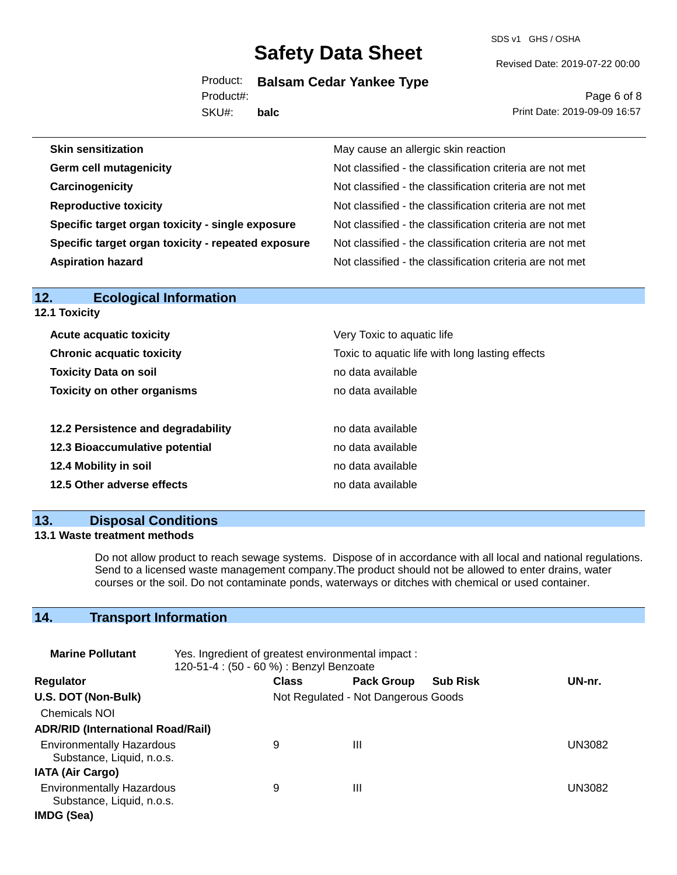SDS v1 GHS / OSHA

Revised Date: 2019-07-22 00:00

Product: **Balsam Cedar Yankee Type**

SKU#: Product#: **balc**

Page 6 of 8 Print Date: 2019-09-09 16:57

| <b>Skin sensitization</b>                          | May cause an allergic skin reaction                      |
|----------------------------------------------------|----------------------------------------------------------|
| <b>Germ cell mutagenicity</b>                      | Not classified - the classification criteria are not met |
| Carcinogenicity                                    | Not classified - the classification criteria are not met |
| <b>Reproductive toxicity</b>                       | Not classified - the classification criteria are not met |
| Specific target organ toxicity - single exposure   | Not classified - the classification criteria are not met |
| Specific target organ toxicity - repeated exposure | Not classified - the classification criteria are not met |
| <b>Aspiration hazard</b>                           | Not classified - the classification criteria are not met |

| <b>Ecological Information</b><br>12. |                                                 |  |  |  |
|--------------------------------------|-------------------------------------------------|--|--|--|
| <b>12.1 Toxicity</b>                 |                                                 |  |  |  |
| <b>Acute acquatic toxicity</b>       | Very Toxic to aquatic life                      |  |  |  |
| <b>Chronic acquatic toxicity</b>     | Toxic to aquatic life with long lasting effects |  |  |  |
| <b>Toxicity Data on soil</b>         | no data available                               |  |  |  |
| <b>Toxicity on other organisms</b>   | no data available                               |  |  |  |
| 12.2 Persistence and degradability   | no data available                               |  |  |  |
| 12.3 Bioaccumulative potential       | no data available                               |  |  |  |
| 12.4 Mobility in soil                | no data available                               |  |  |  |
| 12.5 Other adverse effects           | no data available                               |  |  |  |
|                                      |                                                 |  |  |  |

#### **13. Disposal Conditions**

#### **13.1 Waste treatment methods**

Do not allow product to reach sewage systems. Dispose of in accordance with all local and national regulations. Send to a licensed waste management company.The product should not be allowed to enter drains, water courses or the soil. Do not contaminate ponds, waterways or ditches with chemical or used container.

### **14. Transport Information**

| <b>Marine Pollutant</b>                                       | Yes. Ingredient of greatest environmental impact:<br>120-51-4 : (50 - 60 %) : Benzyl Benzoate |              |                                     |                 |               |
|---------------------------------------------------------------|-----------------------------------------------------------------------------------------------|--------------|-------------------------------------|-----------------|---------------|
| <b>Regulator</b>                                              |                                                                                               | <b>Class</b> | <b>Pack Group</b>                   | <b>Sub Risk</b> | UN-nr.        |
| U.S. DOT (Non-Bulk)                                           |                                                                                               |              | Not Regulated - Not Dangerous Goods |                 |               |
| <b>Chemicals NOI</b>                                          |                                                                                               |              |                                     |                 |               |
| <b>ADR/RID (International Road/Rail)</b>                      |                                                                                               |              |                                     |                 |               |
| <b>Environmentally Hazardous</b><br>Substance, Liquid, n.o.s. |                                                                                               | 9            | Ш                                   |                 | UN3082        |
| <b>IATA (Air Cargo)</b>                                       |                                                                                               |              |                                     |                 |               |
| <b>Environmentally Hazardous</b><br>Substance, Liquid, n.o.s. |                                                                                               | 9            | Ш                                   |                 | <b>UN3082</b> |
| IMDG (Sea)                                                    |                                                                                               |              |                                     |                 |               |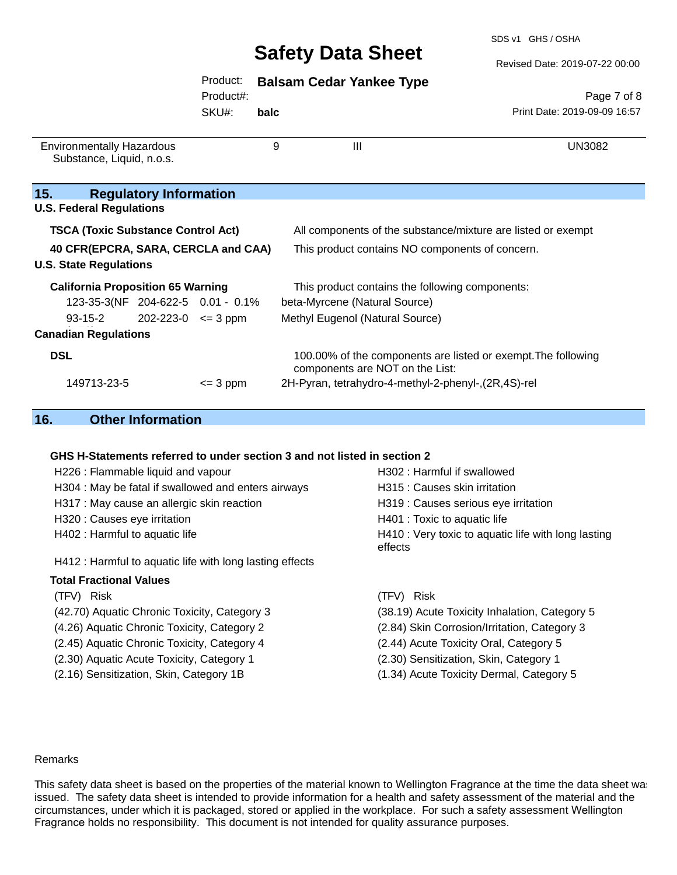SDS v1 GHS / OSHA

Revised Date: 2019-07-22 00:00

|  | Product: Balsam Cedar Yankee Type |  |  |  |
|--|-----------------------------------|--|--|--|
|--|-----------------------------------|--|--|--|

Product#:

SKU#: **balc**

Page 7 of 8 Print Date: 2019-09-09 16:57

| <b>Environmentally Hazardous</b><br>Substance, Liquid, n.o.s.                    |                               |                                   | 9 | Ш                               | UN3082                                                                                                          |
|----------------------------------------------------------------------------------|-------------------------------|-----------------------------------|---|---------------------------------|-----------------------------------------------------------------------------------------------------------------|
| 15.<br><b>U.S. Federal Regulations</b>                                           | <b>Regulatory Information</b> |                                   |   |                                 |                                                                                                                 |
| <b>TSCA (Toxic Substance Control Act)</b><br>40 CFR(EPCRA, SARA, CERCLA and CAA) |                               |                                   |   |                                 | All components of the substance/mixture are listed or exempt<br>This product contains NO components of concern. |
| <b>U.S. State Regulations</b>                                                    |                               |                                   |   |                                 |                                                                                                                 |
| <b>California Proposition 65 Warning</b>                                         |                               |                                   |   |                                 | This product contains the following components:                                                                 |
|                                                                                  |                               | 123-35-3(NF 204-622-5 0.01 - 0.1% |   | beta-Myrcene (Natural Source)   |                                                                                                                 |
| $93 - 15 - 2$                                                                    | $202 - 223 - 0 \leq 3$ ppm    |                                   |   | Methyl Eugenol (Natural Source) |                                                                                                                 |
| <b>Canadian Regulations</b>                                                      |                               |                                   |   |                                 |                                                                                                                 |
| <b>DSL</b>                                                                       |                               |                                   |   | components are NOT on the List: | 100.00% of the components are listed or exempt. The following                                                   |
| 149713-23-5                                                                      |                               | $\leq$ 3 ppm                      |   |                                 | 2H-Pyran, tetrahydro-4-methyl-2-phenyl-,(2R,4S)-rel                                                             |

### **16. Other Information**

#### **GHS H-Statements referred to under section 3 and not listed in section 2**

| H226 : Flammable liquid and vapour                       | H302 : Harmful if swallowed                                    |
|----------------------------------------------------------|----------------------------------------------------------------|
| H304 : May be fatal if swallowed and enters airways      | H315 : Causes skin irritation                                  |
| H317 : May cause an allergic skin reaction               | H319 : Causes serious eye irritation                           |
| H320 : Causes eye irritation                             | H401 : Toxic to aquatic life                                   |
| H402 : Harmful to aquatic life                           | H410 : Very toxic to aquatic life with long lasting<br>effects |
| H412 : Harmful to aquatic life with long lasting effects |                                                                |
| <b>Total Fractional Values</b>                           |                                                                |
| (TFV) Risk                                               | (TFV) Risk                                                     |
| (42.70) Aquatic Chronic Toxicity, Category 3             | (38.19) Acute Toxicity Inhalation, Category 5                  |
| (4.26) Aquatic Chronic Toxicity, Category 2              | (2.84) Skin Corrosion/Irritation, Category 3                   |
| (2.45) Aquatic Chronic Toxicity, Category 4              | (2.44) Acute Toxicity Oral, Category 5                         |
| (2.30) Aquatic Acute Toxicity, Category 1                | (2.30) Sensitization, Skin, Category 1                         |
| (2.16) Sensitization, Skin, Category 1B                  | (1.34) Acute Toxicity Dermal, Category 5                       |

#### Remarks

This safety data sheet is based on the properties of the material known to Wellington Fragrance at the time the data sheet was issued. The safety data sheet is intended to provide information for a health and safety assessment of the material and the circumstances, under which it is packaged, stored or applied in the workplace. For such a safety assessment Wellington Fragrance holds no responsibility. This document is not intended for quality assurance purposes.